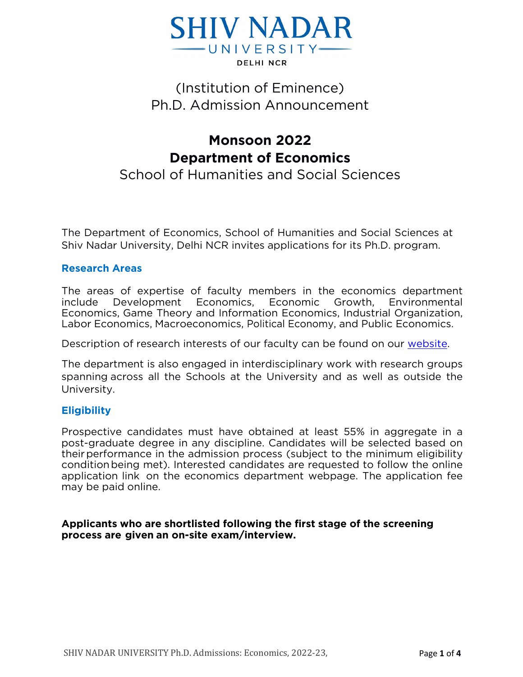

## (Institution of Eminence) Ph.D. Admission Announcement

# **Monsoon 2022 Department of Economics**

School of Humanities and Social Sciences

The Department of Economics, School of Humanities and Social Sciences at Shiv Nadar University, Delhi NCR invites applications for its Ph.D. program.

#### **Research Areas**

The areas of expertise of faculty members in the economics department include Development Economics, Economic Growth, Environmental Economics, Game Theory and Information Economics, Industrial Organization, Labor Economics, Macroeconomics, Political Economy, and Public Economics.

Description of research interests of our faculty can be found on our [website.](https://economics.snu.edu.in/people/faculty)

The department is also engaged in interdisciplinary work with research groups spanning across all the Schools at the University and as well as outside the University.

#### **Eligibility**

Prospective candidates must have obtained at least 55% in aggregate in a post-graduate degree in any discipline. Candidates will be selected based on theirperformance in the admission process (subject to the minimum eligibility conditionbeing met). Interested candidates are requested to follow the online application link on the economics department webpage. The application fee may be paid online.

#### **Applicants who are shortlisted following the first stage of the screening process are given an on-site exam/interview.**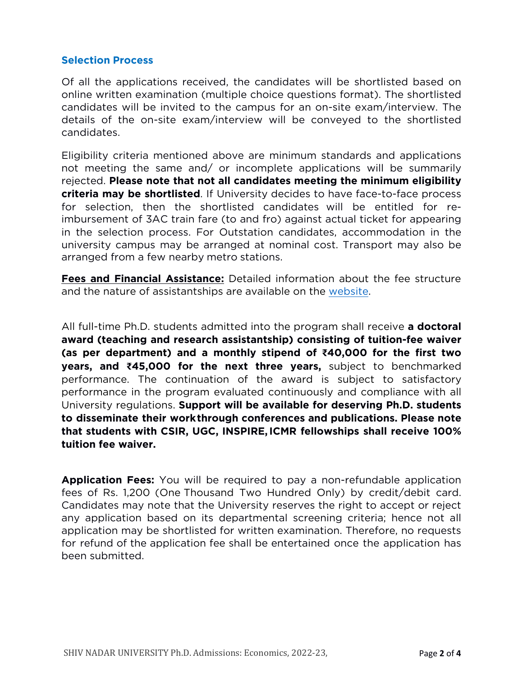#### **Selection Process**

Of all the applications received, the candidates will be shortlisted based on online written examination (multiple choice questions format). The shortlisted candidates will be invited to the campus for an on-site exam/interview. The details of the on-site exam/interview will be conveyed to the shortlisted candidates.

Eligibility criteria mentioned above are minimum standards and applications not meeting the same and/ or incomplete applications will be summarily rejected. **Please note that not all candidates meeting the minimum eligibility criteria may be shortlisted**. If University decides to have face-to-face process for selection, then the shortlisted candidates will be entitled for reimbursement of 3AC train fare (to and fro) against actual ticket for appearing in the selection process. For Outstation candidates, accommodation in the university campus may be arranged at nominal cost. Transport may also be arranged from a few nearby metro stations.

**Fees and Financial Assistance:** Detailed information about the fee structure and the nature of assistantships are available on the [website.](https://snu.edu.in/sites/default/files/Phd_Fee_Structure_2022.pdf)

All full-time Ph.D. students admitted into the program shall receive **a doctoral award (teaching and research assistantship) consisting of tuition-fee waiver (as per department) and a monthly stipend of ₹40,000 for the first two years, and ₹45,000 for the next three years,** subject to benchmarked performance. The continuation of the award is subject to satisfactory performance in the program evaluated continuously and compliance with all University regulations. **Support will be available for deserving Ph.D. students to disseminate their workthrough conferences and publications. Please note that students with CSIR, UGC, INSPIRE,ICMR fellowships shall receive 100% tuition fee waiver.**

**Application Fees:** You will be required to pay a non-refundable application fees of Rs. 1,200 (One Thousand Two Hundred Only) by credit/debit card. Candidates may note that the University reserves the right to accept or reject any application based on its departmental screening criteria; hence not all application may be shortlisted for written examination. Therefore, no requests for refund of the application fee shall be entertained once the application has been submitted.